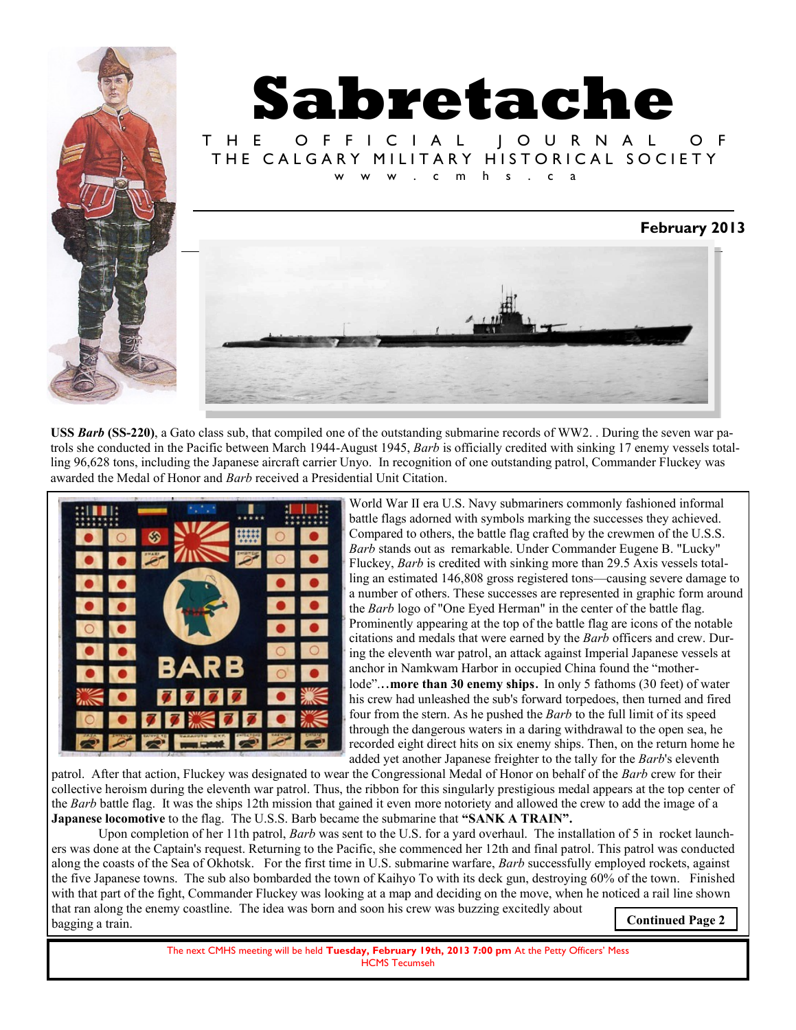

**USS** *Barb* **(SS-220)**, a Gato class sub, that compiled one of the outstanding submarine records of [WW2. .](http://en.wikipedia.org/wiki/World_War_II) During the seven war patrols she conducted in the Pacific between March 1944-August 1945, *Barb* is officially credited with sinking 17 enemy vessels totalling 96,628 tons, including the Japanese aircraft carrier Unyo. In recognition of one outstanding patrol, Commander Fluckey was awarded the [Medal of Honor a](http://en.wikipedia.org/wiki/Medal_of_Honor)nd *Barb* received a [Presidential Unit Citation.](http://en.wikipedia.org/wiki/Presidential_Unit_Citation_%28United_States%29) 



World War II era U.S. Navy submariners commonly fashioned informal battle flags adorned with symbols marking the successes they achieved. Compared to others, the battle flag crafted by the crewmen of the U.S.S. *Barb* stands out as remarkable. Under Commander Eugene B. "Lucky" Fluckey, *Barb* is credited with sinking more than 29.5 Axis vessels totalling an estimated 146,808 gross registered tons—causing severe damage to a number of others. These successes are represented in graphic form around the *Barb* logo of "One Eyed Herman" in the center of the battle flag. Prominently appearing at the top of the battle flag are icons of the notable citations and medals that were earned by the *Barb* officers and crew. During the eleventh war patrol, an attack against Imperial Japanese vessels at anchor in Namkwam Harbor in occupied China found the "motherlode"...more than 30 enemy ships. In only 5 fathoms (30 feet) of water his crew had unleashed the sub's forward torpedoes, then turned and fired four from the stern. As he pushed the *Barb* to the full limit of its speed through the dangerous waters in a daring withdrawal to the open sea, he recorded eight direct hits on six enemy ships. Then, on the return home he added yet another Japanese freighter to the tally for the *Barb*'s eleventh

patrol. After that action, Fluckey was designated to wear the Congressional Medal of Honor on behalf of the *Barb* crew for their collective heroism during the eleventh war patrol. Thus, the ribbon for this singularly prestigious medal appears at the top center of the *Barb* battle flag. It was the ships 12th mission that gained it even more notoriety and allowed the crew to add the image of a **Japanese locomotive** to the flag. The U.S.S. Barb became the submarine that **"SANK A TRAIN".** 

Upon completion of her 11th patrol, *Barb* was sent to the U.S. for a yard overhaul. The installation of 5 in rocket launchers was done at the Captain's request. Returning to the Pacific, she commenced her 12th and final patrol. This patrol was conducted along the coasts of the Sea of Okhotsk. For the first time in U.S. submarine warfare, *Barb* successfully employed rockets, against the five Japanese towns. The sub also bombarded the town of Kaihyo To with its deck gun, destroying 60% of the town. Finished with that part of the fight, Commander Fluckey was looking at a map and deciding on the move, when he noticed a rail line shown that ran along the enemy coastline. The idea was born and soon his crew was buzzing excitedly about bagging a train. **Continued Page 2** 

> The next CMHS meeting will be held **Tuesday, February 19th, 2013 7:00 pm** At the Petty Officers' Mess HCMS Tecumseh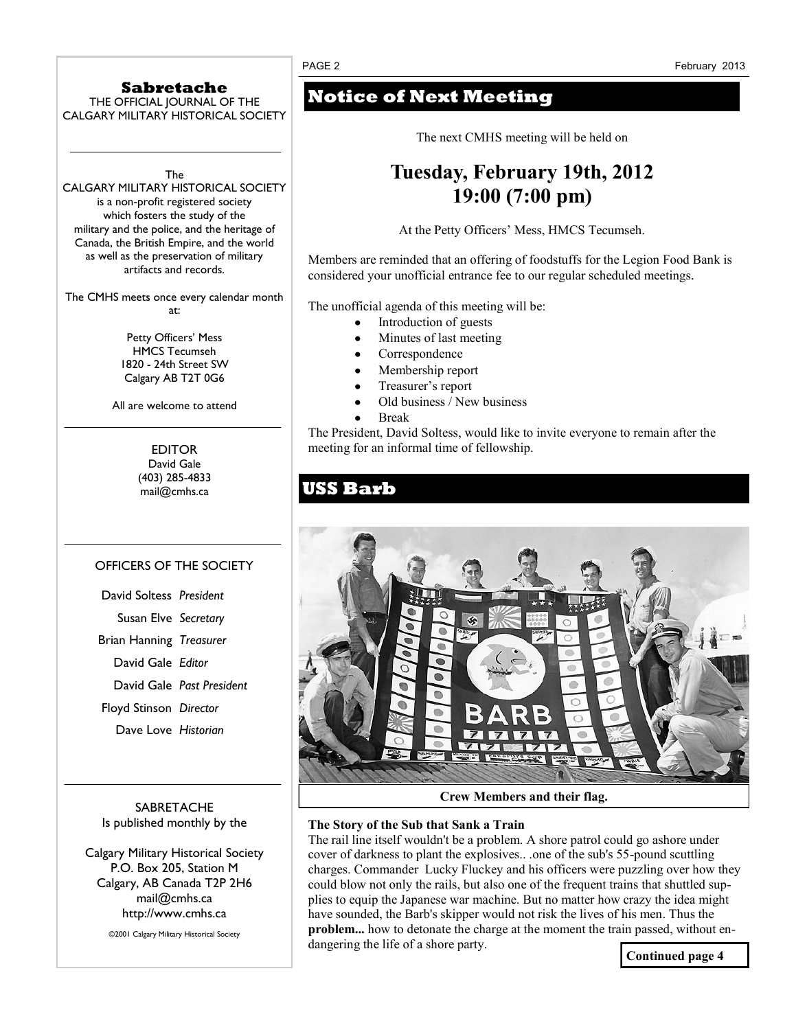### **Sabretache**

THE OFFICIAL JOURNAL OF THE CALGARY MILITARY HISTORICAL SOCIETY

The

CALGARY MILITARY HISTORICAL SOCIETY is a non-profit registered society which fosters the study of the military and the police, and the heritage of Canada, the British Empire, and the world as well as the preservation of military artifacts and records.

The CMHS meets once every calendar month at:

> Petty Officers' Mess HMCS Tecumseh 1820 - 24th Street SW Calgary AB T2T 0G6

All are welcome to attend

EDITOR David Gale (403) 285-4833 mail@cmhs.ca

### OFFICERS OF THE SOCIETY

| David Soltess President |                           |
|-------------------------|---------------------------|
| Susan Elve Secretary    |                           |
| Brian Hanning Treasurer |                           |
| David Gale Editor       |                           |
|                         | David Gale Past President |
| Floyd Stinson Director  |                           |
| Dave Love Historian     |                           |

**SABRETACHE** Is published monthly by the

Calgary Military Historical Society P.O. Box 205, Station M Calgary, AB Canada T2P 2H6 mail@cmhs.ca http://www.cmhs.ca

©2001 Calgary Military Historical Society

## **Notice of Next Meeting**

The next CMHS meeting will be held on

# **Tuesday, February 19th, 2012 19:00 (7:00 pm)**

At the Petty Officers' Mess, HMCS Tecumseh.

Members are reminded that an offering of foodstuffs for the Legion Food Bank is considered your unofficial entrance fee to our regular scheduled meetings*.*

The unofficial agenda of this meeting will be:

- Introduction of guests
- Minutes of last meeting
- Correspondence
- Membership report
- Treasurer's report
- Old business / New business
- Break

The President, David Soltess, would like to invite everyone to remain after the meeting for an informal time of fellowship.

## **USS Barb**



**Crew Members and their flag.**

### **The Story of the Sub that Sank a Train**

The rail line itself wouldn't be a problem. A shore patrol could go ashore under cover of darkness to plant the explosives.. .one of the sub's 55-pound scuttling charges. Commander Lucky Fluckey and his officers were puzzling over how they could blow not only the rails, but also one of the frequent trains that shuttled supplies to equip the Japanese war machine. But no matter how crazy the idea might have sounded, the Barb's skipper would not risk the lives of his men. Thus the **problem...** how to detonate the charge at the moment the train passed, without endangering the life of a shore party.

**Continued page 4**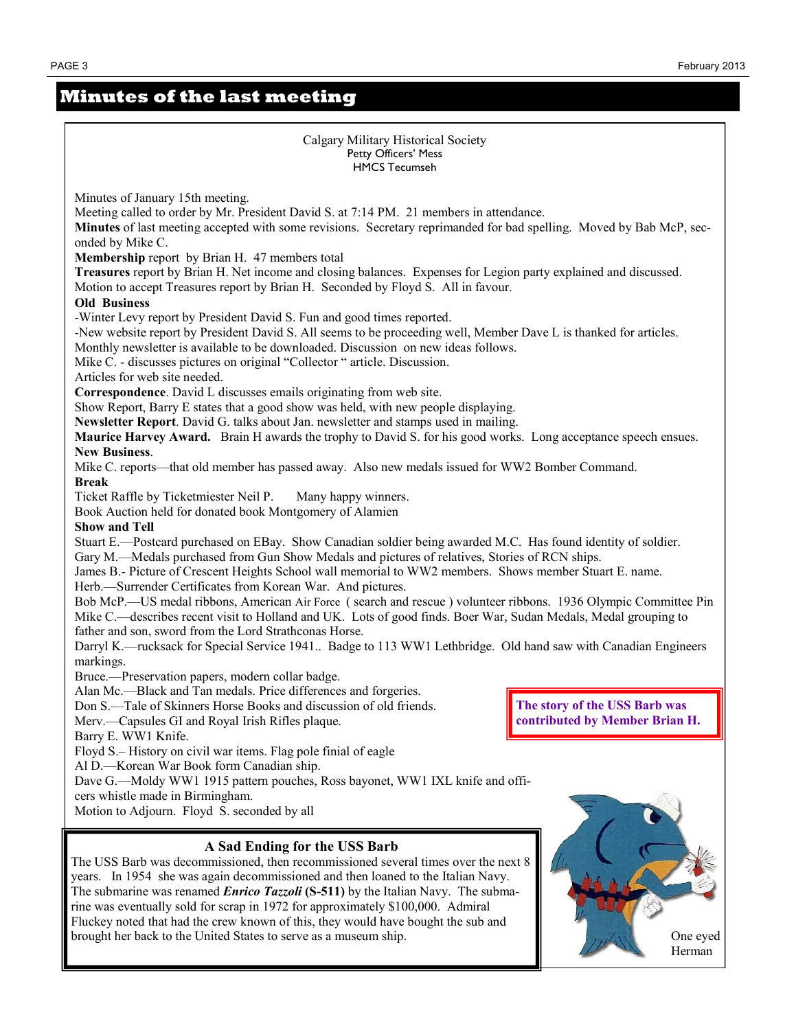Herman

### **Minutes of the last meeting**



brought her back to the United States to serve as a museum ship. The Chang of the United States to serve as a museum ship.